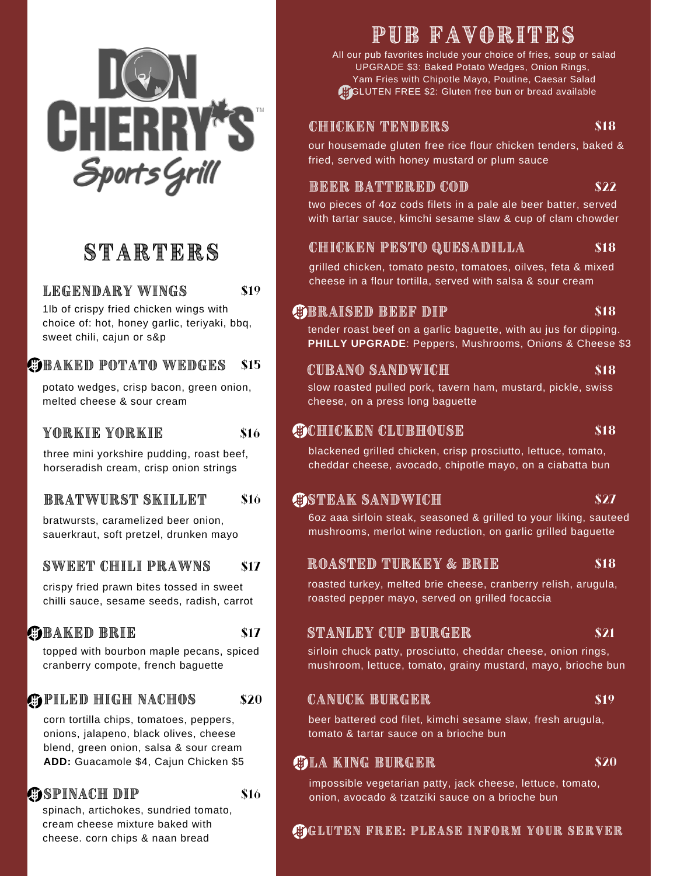

# STARTERS

### LEGENDARY WINGS

1lb of crispy fried chicken wings with choice of: hot, honey garlic, teriyaki, bbq, sweet chili, cajun or s&p

\$19

\$16

\$17

\$16

#### **GEAKED POTATO WEDGES** \$15

potato wedges, crisp bacon, green onion, melted cheese & sour cream

### YORKIE YORKIE

three mini yorkshire pudding, roast beef, horseradish cream, crisp onion strings

#### BRATWIRST SKILLET \$16

bratwursts, caramelized beer onion. sauerkraut, soft pretzel, drunken mayo

#### SWEET CHILI PRAWNS \$17

crispy fried prawn bites tossed in sweet chilli sauce, sesame seeds, radish, carrot

## **GBAKED BRIE**

topped with bourbon maple pecans, spiced cranberry compote, french baguette

#### **COPILED HIGH NACHOS** \$20

corn tortilla chips, tomatoes, peppers, onions, jalapeno, black olives, cheese blend, green onion, salsa & sour cream ADD: Guacamole \$4, Cajun Chicken \$5

## **COSPINACH DIP**

spinach, artichokes, sundried tomato, cream cheese mixture baked with cheese. corn chips & naan bread

# PUB FAVORITES

All our pub favorites include your choice of fries, soup or salad UPGRADE \$3: Baked Potato Wedges, Onion Rings, Yam Fries with Chipotle Mayo, Poutine, Caesar Salad GLUTEN FREE \$2: Gluten free bun or bread available

### CHICKEN TENDERS

\$18

our housemade gluten free rice flour chicken tenders, baked & fried, served with honey mustard or plum sauce

### **BEER BATTERED COD**

### \$22

two pieces of 4oz cods filets in a pale ale beer batter, served with tartar sauce, kimchi sesame slaw & cup of clam chowder

#### CHICKEN PESTO QUESADILLA \$18

grilled chicken, tomato pesto, tomatoes, oilves, feta & mixed cheese in a flour tortilla, served with salsa & sour cream

### **COBRAISED BEEF DIP**

 $$18$ 

tender roast beef on a garlic baguette, with au jus for dipping. **PHILLY UPGRADE: Peppers, Mushrooms, Onions & Cheese \$3** 

### CUBANO SANDWICH

### \$18

slow roasted pulled pork, tavern ham, mustard, pickle, swiss cheese, on a press long baguette

### **GEORER CLUBHOUSE**

### **S18**

blackened grilled chicken, crisp prosciutto, lettuce, tomato, cheddar cheese, avocado, chipotle mayo, on a ciabatta bun

### *<b>COSTEAK SANDWICH*

\$27

6oz aaa sirloin steak, seasoned & grilled to your liking, sauteed mushrooms, merlot wine reduction, on garlic grilled baguette

### ROASTED TURKEY & BRIE

\$18

roasted turkey, melted brie cheese, cranberry relish, arugula, roasted pepper mayo, served on grilled focaccia

### STANLEY CUP BURGER

\$21

sirloin chuck patty, prosciutto, cheddar cheese, onion rings, mushroom, lettuce, tomato, grainy mustard, mayo, brioche bun

### **CANUCK BURGER**

beer battered cod filet, kimchi sesame slaw, fresh arugula, tomato & tartar sauce on a brioche bun

## **GLA KING BURGER**

\$20

\$19

impossible vegetarian patty, jack cheese, lettuce, tomato, onion, avocado & tzatziki sauce on a brioche bun

### **GLUTEN FREE: PLEASE INFORM YOUR SERVER**